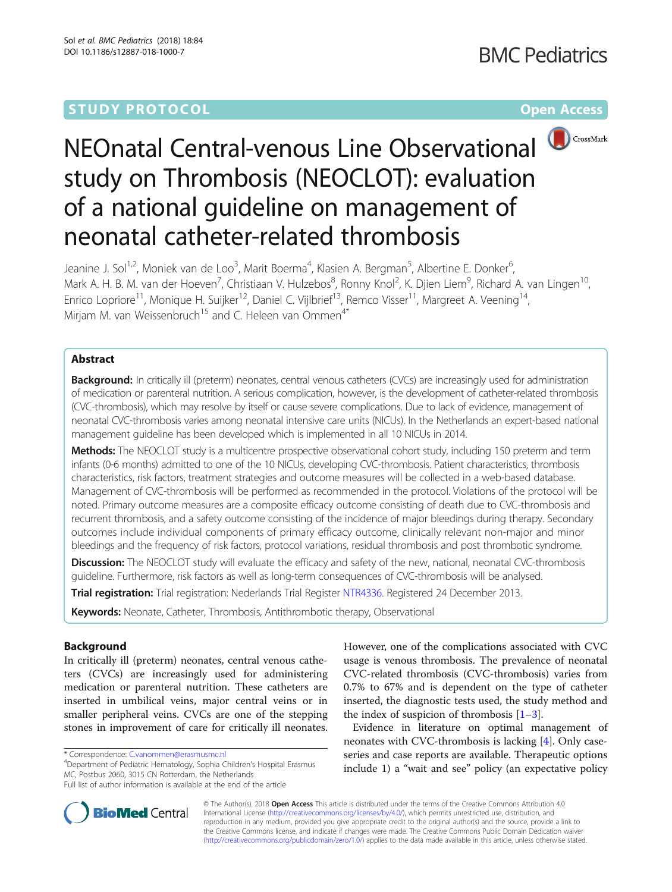# **STUDY PROTOCOL CONSUMING THE RESERVE ACCESS**



# NEOnatal Central-venous Line Observational study on Thrombosis (NEOCLOT): evaluation of a national guideline on management of neonatal catheter-related thrombosis

Jeanine J. Sol<sup>1,2</sup>, Moniek van de Loo<sup>3</sup>, Marit Boerma<sup>4</sup>, Klasien A. Bergman<sup>5</sup>, Albertine E. Donker<sup>6</sup> , Mark A. H. B. M. van der Hoeven<sup>7</sup>, Christiaan V. Hulzebos<sup>8</sup>, Ronny Knol<sup>2</sup>, K. Djien Liem<sup>9</sup>, Richard A. van Lingen<sup>10</sup>, Enrico Lopriore<sup>11</sup>, Monique H. Suijker<sup>12</sup>, Daniel C. Vijlbrief<sup>13</sup>, Remco Visser<sup>11</sup>, Margreet A. Veening<sup>14</sup>, Mirjam M. van Weissenbruch<sup>15</sup> and C. Heleen van Ommen<sup>4\*</sup>

# Abstract

**Background:** In critically ill (preterm) neonates, central venous catheters (CVCs) are increasingly used for administration of medication or parenteral nutrition. A serious complication, however, is the development of catheter-related thrombosis (CVC-thrombosis), which may resolve by itself or cause severe complications. Due to lack of evidence, management of neonatal CVC-thrombosis varies among neonatal intensive care units (NICUs). In the Netherlands an expert-based national management guideline has been developed which is implemented in all 10 NICUs in 2014.

Methods: The NEOCLOT study is a multicentre prospective observational cohort study, including 150 preterm and term infants (0-6 months) admitted to one of the 10 NICUs, developing CVC-thrombosis. Patient characteristics, thrombosis characteristics, risk factors, treatment strategies and outcome measures will be collected in a web-based database. Management of CVC-thrombosis will be performed as recommended in the protocol. Violations of the protocol will be noted. Primary outcome measures are a composite efficacy outcome consisting of death due to CVC-thrombosis and recurrent thrombosis, and a safety outcome consisting of the incidence of major bleedings during therapy. Secondary outcomes include individual components of primary efficacy outcome, clinically relevant non-major and minor bleedings and the frequency of risk factors, protocol variations, residual thrombosis and post thrombotic syndrome.

Discussion: The NEOCLOT study will evaluate the efficacy and safety of the new, national, neonatal CVC-thrombosis guideline. Furthermore, risk factors as well as long-term consequences of CVC-thrombosis will be analysed.

Trial registration: Trial registration: Nederlands Trial Register [NTR4336.](http://www.trialregister.nl/trialreg/admin/rctview.asp?TC=4336) Registered 24 December 2013.

Keywords: Neonate, Catheter, Thrombosis, Antithrombotic therapy, Observational

## Background

In critically ill (preterm) neonates, central venous catheters (CVCs) are increasingly used for administering medication or parenteral nutrition. These catheters are inserted in umbilical veins, major central veins or in smaller peripheral veins. CVCs are one of the stepping stones in improvement of care for critically ill neonates.

Department of Pediatric Hematology, Sophia Children's Hospital Erasmus MC, Postbus 2060, 3015 CN Rotterdam, the Netherlands Full list of author information is available at the end of the article

Evidence in literature on optimal management of neonates with CVC-thrombosis is lacking [[4\]](#page-6-0). Only caseseries and case reports are available. Therapeutic options include 1) a "wait and see" policy (an expectative policy



© The Author(s). 2018 Open Access This article is distributed under the terms of the Creative Commons Attribution 4.0 International License [\(http://creativecommons.org/licenses/by/4.0/](http://creativecommons.org/licenses/by/4.0/)), which permits unrestricted use, distribution, and reproduction in any medium, provided you give appropriate credit to the original author(s) and the source, provide a link to the Creative Commons license, and indicate if changes were made. The Creative Commons Public Domain Dedication waiver [\(http://creativecommons.org/publicdomain/zero/1.0/](http://creativecommons.org/publicdomain/zero/1.0/)) applies to the data made available in this article, unless otherwise stated.

<sup>\*</sup> Correspondence: [C.vanommen@erasmusmc.nl](mailto:C.vanommen@erasmusmc.nl) <sup>4</sup>

However, one of the complications associated with CVC usage is venous thrombosis. The prevalence of neonatal CVC-related thrombosis (CVC-thrombosis) varies from 0.7% to 67% and is dependent on the type of catheter inserted, the diagnostic tests used, the study method and the index of suspicion of thrombosis  $[1-3]$  $[1-3]$  $[1-3]$  $[1-3]$  $[1-3]$ .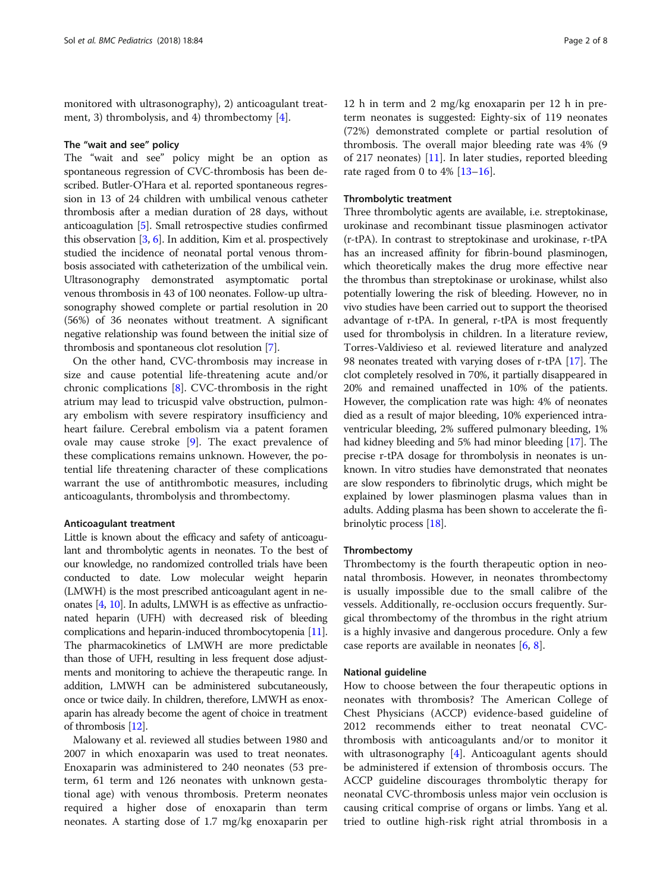monitored with ultrasonography), 2) anticoagulant treatment, 3) thrombolysis, and 4) thrombectomy [[4](#page-6-0)].

#### The "wait and see" policy

The "wait and see" policy might be an option as spontaneous regression of CVC-thrombosis has been described. Butler-O'Hara et al. reported spontaneous regression in 13 of 24 children with umbilical venous catheter thrombosis after a median duration of 28 days, without anticoagulation [[5](#page-6-0)]. Small retrospective studies confirmed this observation [\[3,](#page-6-0) [6](#page-6-0)]. In addition, Kim et al. prospectively studied the incidence of neonatal portal venous thrombosis associated with catheterization of the umbilical vein. Ultrasonography demonstrated asymptomatic portal venous thrombosis in 43 of 100 neonates. Follow-up ultrasonography showed complete or partial resolution in 20 (56%) of 36 neonates without treatment. A significant negative relationship was found between the initial size of thrombosis and spontaneous clot resolution [[7\]](#page-6-0).

On the other hand, CVC-thrombosis may increase in size and cause potential life-threatening acute and/or chronic complications [\[8](#page-6-0)]. CVC-thrombosis in the right atrium may lead to tricuspid valve obstruction, pulmonary embolism with severe respiratory insufficiency and heart failure. Cerebral embolism via a patent foramen ovale may cause stroke [\[9](#page-6-0)]. The exact prevalence of these complications remains unknown. However, the potential life threatening character of these complications warrant the use of antithrombotic measures, including anticoagulants, thrombolysis and thrombectomy.

#### Anticoagulant treatment

Little is known about the efficacy and safety of anticoagulant and thrombolytic agents in neonates. To the best of our knowledge, no randomized controlled trials have been conducted to date. Low molecular weight heparin (LMWH) is the most prescribed anticoagulant agent in neonates [\[4](#page-6-0), [10](#page-6-0)]. In adults, LMWH is as effective as unfractionated heparin (UFH) with decreased risk of bleeding complications and heparin-induced thrombocytopenia [\[11](#page-6-0)]. The pharmacokinetics of LMWH are more predictable than those of UFH, resulting in less frequent dose adjustments and monitoring to achieve the therapeutic range. In addition, LMWH can be administered subcutaneously, once or twice daily. In children, therefore, LMWH as enoxaparin has already become the agent of choice in treatment of thrombosis [\[12\]](#page-6-0).

Malowany et al. reviewed all studies between 1980 and 2007 in which enoxaparin was used to treat neonates. Enoxaparin was administered to 240 neonates (53 preterm, 61 term and 126 neonates with unknown gestational age) with venous thrombosis. Preterm neonates required a higher dose of enoxaparin than term neonates. A starting dose of 1.7 mg/kg enoxaparin per

12 h in term and 2 mg/kg enoxaparin per 12 h in preterm neonates is suggested: Eighty-six of 119 neonates (72%) demonstrated complete or partial resolution of thrombosis. The overall major bleeding rate was 4% (9 of 217 neonates) [[11\]](#page-6-0). In later studies, reported bleeding rate raged from 0 to  $4\%$  [\[13](#page-6-0)-[16\]](#page-6-0).

#### Thrombolytic treatment

Three thrombolytic agents are available, i.e. streptokinase, urokinase and recombinant tissue plasminogen activator (r-tPA). In contrast to streptokinase and urokinase, r-tPA has an increased affinity for fibrin-bound plasminogen, which theoretically makes the drug more effective near the thrombus than streptokinase or urokinase, whilst also potentially lowering the risk of bleeding. However, no in vivo studies have been carried out to support the theorised advantage of r-tPA. In general, r-tPA is most frequently used for thrombolysis in children. In a literature review, Torres-Valdivieso et al. reviewed literature and analyzed 98 neonates treated with varying doses of r-tPA [[17](#page-6-0)]. The clot completely resolved in 70%, it partially disappeared in 20% and remained unaffected in 10% of the patients. However, the complication rate was high: 4% of neonates died as a result of major bleeding, 10% experienced intraventricular bleeding, 2% suffered pulmonary bleeding, 1% had kidney bleeding and 5% had minor bleeding [\[17\]](#page-6-0). The precise r-tPA dosage for thrombolysis in neonates is unknown. In vitro studies have demonstrated that neonates are slow responders to fibrinolytic drugs, which might be explained by lower plasminogen plasma values than in adults. Adding plasma has been shown to accelerate the fibrinolytic process [[18\]](#page-6-0).

#### Thrombectomy

Thrombectomy is the fourth therapeutic option in neonatal thrombosis. However, in neonates thrombectomy is usually impossible due to the small calibre of the vessels. Additionally, re-occlusion occurs frequently. Surgical thrombectomy of the thrombus in the right atrium is a highly invasive and dangerous procedure. Only a few case reports are available in neonates [\[6,](#page-6-0) [8\]](#page-6-0).

#### National guideline

How to choose between the four therapeutic options in neonates with thrombosis? The American College of Chest Physicians (ACCP) evidence-based guideline of 2012 recommends either to treat neonatal CVCthrombosis with anticoagulants and/or to monitor it with ultrasonography [\[4](#page-6-0)]. Anticoagulant agents should be administered if extension of thrombosis occurs. The ACCP guideline discourages thrombolytic therapy for neonatal CVC-thrombosis unless major vein occlusion is causing critical comprise of organs or limbs. Yang et al. tried to outline high-risk right atrial thrombosis in a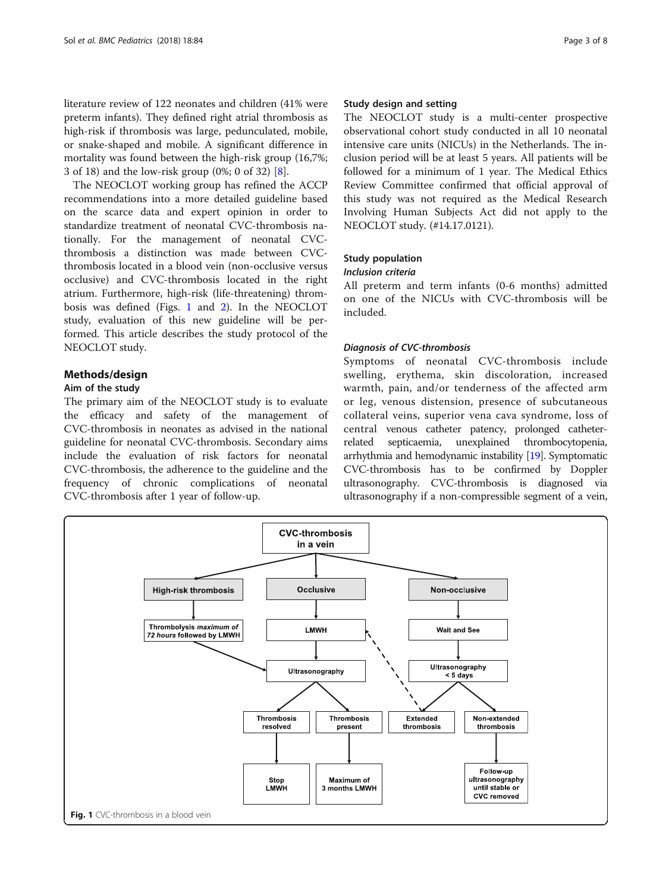<span id="page-2-0"></span>literature review of 122 neonates and children (41% were preterm infants). They defined right atrial thrombosis as high-risk if thrombosis was large, pedunculated, mobile, or snake-shaped and mobile. A significant difference in mortality was found between the high-risk group (16,7%; 3 of 18) and the low-risk group (0%; 0 of 32) [[8\]](#page-6-0).

The NEOCLOT working group has refined the ACCP recommendations into a more detailed guideline based on the scarce data and expert opinion in order to standardize treatment of neonatal CVC-thrombosis nationally. For the management of neonatal CVCthrombosis a distinction was made between CVCthrombosis located in a blood vein (non-occlusive versus occlusive) and CVC-thrombosis located in the right atrium. Furthermore, high-risk (life-threatening) thrombosis was defined (Figs. 1 and [2\)](#page-3-0). In the NEOCLOT study, evaluation of this new guideline will be performed. This article describes the study protocol of the NEOCLOT study.

### Methods/design

#### Aim of the study

The primary aim of the NEOCLOT study is to evaluate the efficacy and safety of the management of CVC-thrombosis in neonates as advised in the national guideline for neonatal CVC-thrombosis. Secondary aims include the evaluation of risk factors for neonatal CVC-thrombosis, the adherence to the guideline and the frequency of chronic complications of neonatal CVC-thrombosis after 1 year of follow-up.

#### Study design and setting

The NEOCLOT study is a multi-center prospective observational cohort study conducted in all 10 neonatal intensive care units (NICUs) in the Netherlands. The inclusion period will be at least 5 years. All patients will be followed for a minimum of 1 year. The Medical Ethics Review Committee confirmed that official approval of this study was not required as the Medical Research Involving Human Subjects Act did not apply to the NEOCLOT study. (#14.17.0121).

#### Study population

#### Inclusion criteria

All preterm and term infants (0-6 months) admitted on one of the NICUs with CVC-thrombosis will be included.

#### Diagnosis of CVC-thrombosis

Symptoms of neonatal CVC-thrombosis include swelling, erythema, skin discoloration, increased warmth, pain, and/or tenderness of the affected arm or leg, venous distension, presence of subcutaneous collateral veins, superior vena cava syndrome, loss of central venous catheter patency, prolonged catheterrelated septicaemia, unexplained thrombocytopenia, arrhythmia and hemodynamic instability [[19\]](#page-6-0). Symptomatic CVC-thrombosis has to be confirmed by Doppler ultrasonography. CVC-thrombosis is diagnosed via ultrasonography if a non-compressible segment of a vein,

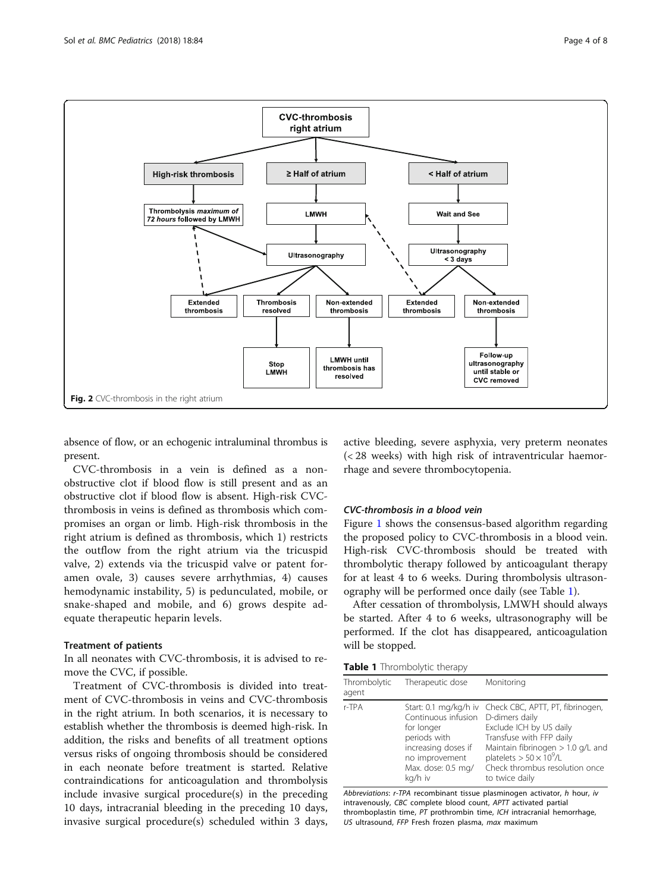<span id="page-3-0"></span>

absence of flow, or an echogenic intraluminal thrombus is present.

CVC-thrombosis in a vein is defined as a nonobstructive clot if blood flow is still present and as an obstructive clot if blood flow is absent. High-risk CVCthrombosis in veins is defined as thrombosis which compromises an organ or limb. High-risk thrombosis in the right atrium is defined as thrombosis, which 1) restricts the outflow from the right atrium via the tricuspid valve, 2) extends via the tricuspid valve or patent foramen ovale, 3) causes severe arrhythmias, 4) causes hemodynamic instability, 5) is pedunculated, mobile, or snake-shaped and mobile, and 6) grows despite adequate therapeutic heparin levels.

#### Treatment of patients

In all neonates with CVC-thrombosis, it is advised to remove the CVC, if possible.

Treatment of CVC-thrombosis is divided into treatment of CVC-thrombosis in veins and CVC-thrombosis in the right atrium. In both scenarios, it is necessary to establish whether the thrombosis is deemed high-risk. In addition, the risks and benefits of all treatment options versus risks of ongoing thrombosis should be considered in each neonate before treatment is started. Relative contraindications for anticoagulation and thrombolysis include invasive surgical procedure(s) in the preceding 10 days, intracranial bleeding in the preceding 10 days, invasive surgical procedure(s) scheduled within 3 days,

active bleeding, severe asphyxia, very preterm neonates (< 28 weeks) with high risk of intraventricular haemorrhage and severe thrombocytopenia.

#### CVC-thrombosis in a blood vein

Figure [1](#page-2-0) shows the consensus-based algorithm regarding the proposed policy to CVC-thrombosis in a blood vein. High-risk CVC-thrombosis should be treated with thrombolytic therapy followed by anticoagulant therapy for at least 4 to 6 weeks. During thrombolysis ultrasonography will be performed once daily (see Table 1).

After cessation of thrombolysis, LMWH should always be started. After 4 to 6 weeks, ultrasonography will be performed. If the clot has disappeared, anticoagulation will be stopped.

|  |  | Table 1 Thrombolytic therapy |  |
|--|--|------------------------------|--|
|--|--|------------------------------|--|

| Thrombolytic<br>agent | Therapeutic dose                                                                                                            | Monitoring                                                                                                                                                                                                                                                    |
|-----------------------|-----------------------------------------------------------------------------------------------------------------------------|---------------------------------------------------------------------------------------------------------------------------------------------------------------------------------------------------------------------------------------------------------------|
| r-TPA                 | Continuous infusion<br>for longer<br>periods with<br>increasing doses if<br>no improvement<br>Max. dose: 0.5 mg/<br>kg/h iv | Start: 0.1 mg/kg/h iv Check CBC, APTT, PT, fibrinogen,<br>D-dimers daily<br>Exclude ICH by US daily<br>Transfuse with FFP daily<br>Maintain fibrinogen $> 1.0$ g/L and<br>platelets $> 50 \times 10^9$ /L<br>Check thrombus resolution once<br>to twice daily |

Abbreviations: r-TPA recombinant tissue plasminogen activator, h hour, iv intravenously, CBC complete blood count, APTT activated partial thromboplastin time, PT prothrombin time, ICH intracranial hemorrhage, US ultrasound, FFP Fresh frozen plasma, max maximum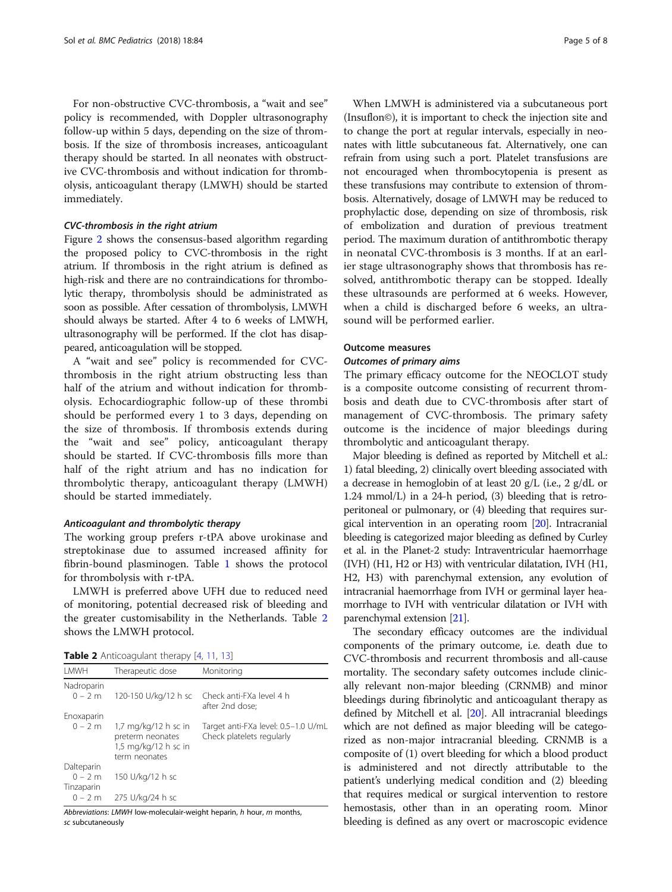For non-obstructive CVC-thrombosis, a "wait and see" policy is recommended, with Doppler ultrasonography follow-up within 5 days, depending on the size of thrombosis. If the size of thrombosis increases, anticoagulant therapy should be started. In all neonates with obstructive CVC-thrombosis and without indication for thrombolysis, anticoagulant therapy (LMWH) should be started immediately.

#### CVC-thrombosis in the right atrium

Figure [2](#page-3-0) shows the consensus-based algorithm regarding the proposed policy to CVC-thrombosis in the right atrium. If thrombosis in the right atrium is defined as high-risk and there are no contraindications for thrombolytic therapy, thrombolysis should be administrated as soon as possible. After cessation of thrombolysis, LMWH should always be started. After 4 to 6 weeks of LMWH, ultrasonography will be performed. If the clot has disappeared, anticoagulation will be stopped.

A "wait and see" policy is recommended for CVCthrombosis in the right atrium obstructing less than half of the atrium and without indication for thrombolysis. Echocardiographic follow-up of these thrombi should be performed every 1 to 3 days, depending on the size of thrombosis. If thrombosis extends during the "wait and see" policy, anticoagulant therapy should be started. If CVC-thrombosis fills more than half of the right atrium and has no indication for thrombolytic therapy, anticoagulant therapy (LMWH) should be started immediately.

#### Anticoagulant and thrombolytic therapy

The working group prefers r-tPA above urokinase and streptokinase due to assumed increased affinity for fibrin-bound plasminogen. Table [1](#page-3-0) shows the protocol for thrombolysis with r-tPA.

LMWH is preferred above UFH due to reduced need of monitoring, potential decreased risk of bleeding and the greater customisability in the Netherlands. Table 2 shows the LMWH protocol.

| Table 2 Anticoagulant therapy [4, 11, 13] |  |  |  |
|-------------------------------------------|--|--|--|
|-------------------------------------------|--|--|--|

| LMWH                   | Therapeutic dose                                                                    | Monitoring                                                       |
|------------------------|-------------------------------------------------------------------------------------|------------------------------------------------------------------|
| Nadroparin             |                                                                                     |                                                                  |
| $0 - 2m$               | 120-150 U/kg/12 h sc                                                                | Check anti-FXa level 4 h<br>after 2nd dose;                      |
| Enoxaparin             |                                                                                     |                                                                  |
| $0 - 2m$               | $1,7$ mg/kg/12 h sc in<br>preterm neonates<br>1,5 mg/kg/12 h sc in<br>term neonates | Target anti-FXa level: 0.5-1.0 U/mL<br>Check platelets regularly |
| Dalteparin             |                                                                                     |                                                                  |
| $0 - 2m$<br>Tinzaparin | 150 U/kg/12 h sc                                                                    |                                                                  |
| $0 - 2m$               | 275 U/kg/24 h sc                                                                    |                                                                  |

Abbreviations: LMWH low-moleculair-weight heparin, h hour, m months, sc subcutaneously

When LMWH is administered via a subcutaneous port (Insuflon©), it is important to check the injection site and to change the port at regular intervals, especially in neonates with little subcutaneous fat. Alternatively, one can refrain from using such a port. Platelet transfusions are not encouraged when thrombocytopenia is present as these transfusions may contribute to extension of thrombosis. Alternatively, dosage of LMWH may be reduced to prophylactic dose, depending on size of thrombosis, risk of embolization and duration of previous treatment period. The maximum duration of antithrombotic therapy in neonatal CVC-thrombosis is 3 months. If at an earlier stage ultrasonography shows that thrombosis has resolved, antithrombotic therapy can be stopped. Ideally these ultrasounds are performed at 6 weeks. However, when a child is discharged before 6 weeks, an ultrasound will be performed earlier.

#### Outcome measures

#### Outcomes of primary aims

The primary efficacy outcome for the NEOCLOT study is a composite outcome consisting of recurrent thrombosis and death due to CVC-thrombosis after start of management of CVC-thrombosis. The primary safety outcome is the incidence of major bleedings during thrombolytic and anticoagulant therapy.

Major bleeding is defined as reported by Mitchell et al.: 1) fatal bleeding, 2) clinically overt bleeding associated with a decrease in hemoglobin of at least 20 g/L (i.e., 2 g/dL or 1.24 mmol/L) in a 24-h period, (3) bleeding that is retroperitoneal or pulmonary, or (4) bleeding that requires surgical intervention in an operating room [\[20\]](#page-6-0). Intracranial bleeding is categorized major bleeding as defined by Curley et al. in the Planet-2 study: Intraventricular haemorrhage (IVH) (H1, H2 or H3) with ventricular dilatation, IVH (H1, H2, H3) with parenchymal extension, any evolution of intracranial haemorrhage from IVH or germinal layer heamorrhage to IVH with ventricular dilatation or IVH with parenchymal extension [\[21\]](#page-6-0).

The secondary efficacy outcomes are the individual components of the primary outcome, i.e. death due to CVC-thrombosis and recurrent thrombosis and all-cause mortality. The secondary safety outcomes include clinically relevant non-major bleeding (CRNMB) and minor bleedings during fibrinolytic and anticoagulant therapy as defined by Mitchell et al. [[20](#page-6-0)]. All intracranial bleedings which are not defined as major bleeding will be categorized as non-major intracranial bleeding. CRNMB is a composite of (1) overt bleeding for which a blood product is administered and not directly attributable to the patient's underlying medical condition and (2) bleeding that requires medical or surgical intervention to restore hemostasis, other than in an operating room. Minor bleeding is defined as any overt or macroscopic evidence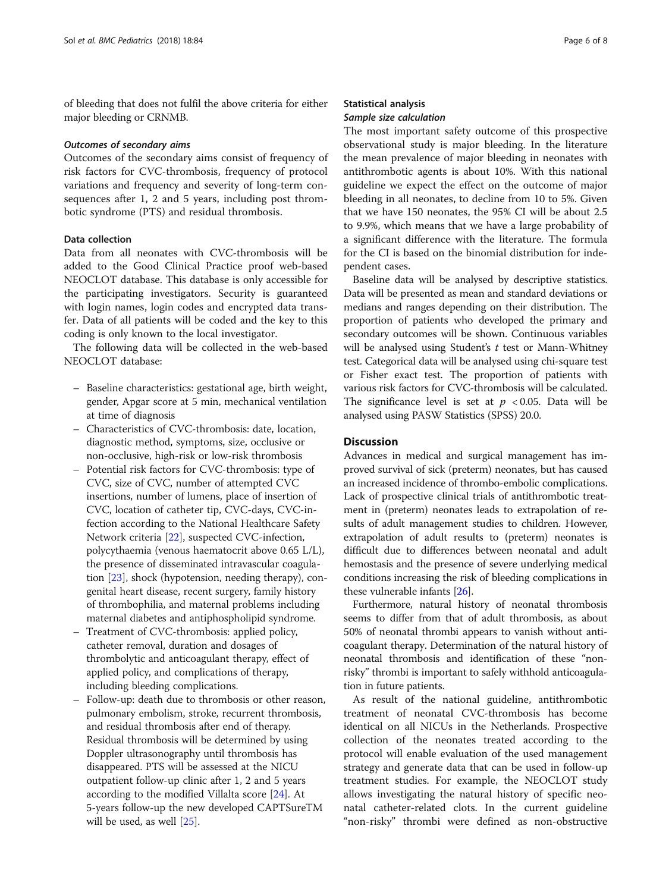of bleeding that does not fulfil the above criteria for either major bleeding or CRNMB.

#### Outcomes of secondary aims

Outcomes of the secondary aims consist of frequency of risk factors for CVC-thrombosis, frequency of protocol variations and frequency and severity of long-term consequences after 1, 2 and 5 years, including post thrombotic syndrome (PTS) and residual thrombosis.

#### Data collection

Data from all neonates with CVC-thrombosis will be added to the Good Clinical Practice proof web-based NEOCLOT database. This database is only accessible for the participating investigators. Security is guaranteed with login names, login codes and encrypted data transfer. Data of all patients will be coded and the key to this coding is only known to the local investigator.

The following data will be collected in the web-based NEOCLOT database:

- Baseline characteristics: gestational age, birth weight, gender, Apgar score at 5 min, mechanical ventilation at time of diagnosis
- Characteristics of CVC-thrombosis: date, location, diagnostic method, symptoms, size, occlusive or non-occlusive, high-risk or low-risk thrombosis
- Potential risk factors for CVC-thrombosis: type of CVC, size of CVC, number of attempted CVC insertions, number of lumens, place of insertion of CVC, location of catheter tip, CVC-days, CVC-infection according to the National Healthcare Safety Network criteria [\[22\]](#page-7-0), suspected CVC-infection, polycythaemia (venous haematocrit above 0.65 L/L), the presence of disseminated intravascular coagulation [[23](#page-7-0)], shock (hypotension, needing therapy), congenital heart disease, recent surgery, family history of thrombophilia, and maternal problems including maternal diabetes and antiphospholipid syndrome.
- Treatment of CVC-thrombosis: applied policy, catheter removal, duration and dosages of thrombolytic and anticoagulant therapy, effect of applied policy, and complications of therapy, including bleeding complications.
- Follow-up: death due to thrombosis or other reason, pulmonary embolism, stroke, recurrent thrombosis, and residual thrombosis after end of therapy. Residual thrombosis will be determined by using Doppler ultrasonography until thrombosis has disappeared. PTS will be assessed at the NICU outpatient follow-up clinic after 1, 2 and 5 years according to the modified Villalta score [\[24\]](#page-7-0). At 5-years follow-up the new developed CAPTSureTM will be used, as well [\[25](#page-7-0)].

#### Statistical analysis Sample size calculation

The most important safety outcome of this prospective observational study is major bleeding. In the literature the mean prevalence of major bleeding in neonates with antithrombotic agents is about 10%. With this national guideline we expect the effect on the outcome of major bleeding in all neonates, to decline from 10 to 5%. Given that we have 150 neonates, the 95% CI will be about 2.5 to 9.9%, which means that we have a large probability of a significant difference with the literature. The formula for the CI is based on the binomial distribution for independent cases.

Baseline data will be analysed by descriptive statistics. Data will be presented as mean and standard deviations or medians and ranges depending on their distribution. The proportion of patients who developed the primary and secondary outcomes will be shown. Continuous variables will be analysed using Student's  $t$  test or Mann-Whitney test. Categorical data will be analysed using chi-square test or Fisher exact test. The proportion of patients with various risk factors for CVC-thrombosis will be calculated. The significance level is set at  $p < 0.05$ . Data will be analysed using PASW Statistics (SPSS) 20.0.

#### **Discussion**

Advances in medical and surgical management has improved survival of sick (preterm) neonates, but has caused an increased incidence of thrombo-embolic complications. Lack of prospective clinical trials of antithrombotic treatment in (preterm) neonates leads to extrapolation of results of adult management studies to children. However, extrapolation of adult results to (preterm) neonates is difficult due to differences between neonatal and adult hemostasis and the presence of severe underlying medical conditions increasing the risk of bleeding complications in these vulnerable infants [\[26\]](#page-7-0).

Furthermore, natural history of neonatal thrombosis seems to differ from that of adult thrombosis, as about 50% of neonatal thrombi appears to vanish without anticoagulant therapy. Determination of the natural history of neonatal thrombosis and identification of these "nonrisky" thrombi is important to safely withhold anticoagulation in future patients.

As result of the national guideline, antithrombotic treatment of neonatal CVC-thrombosis has become identical on all NICUs in the Netherlands. Prospective collection of the neonates treated according to the protocol will enable evaluation of the used management strategy and generate data that can be used in follow-up treatment studies. For example, the NEOCLOT study allows investigating the natural history of specific neonatal catheter-related clots. In the current guideline "non-risky" thrombi were defined as non-obstructive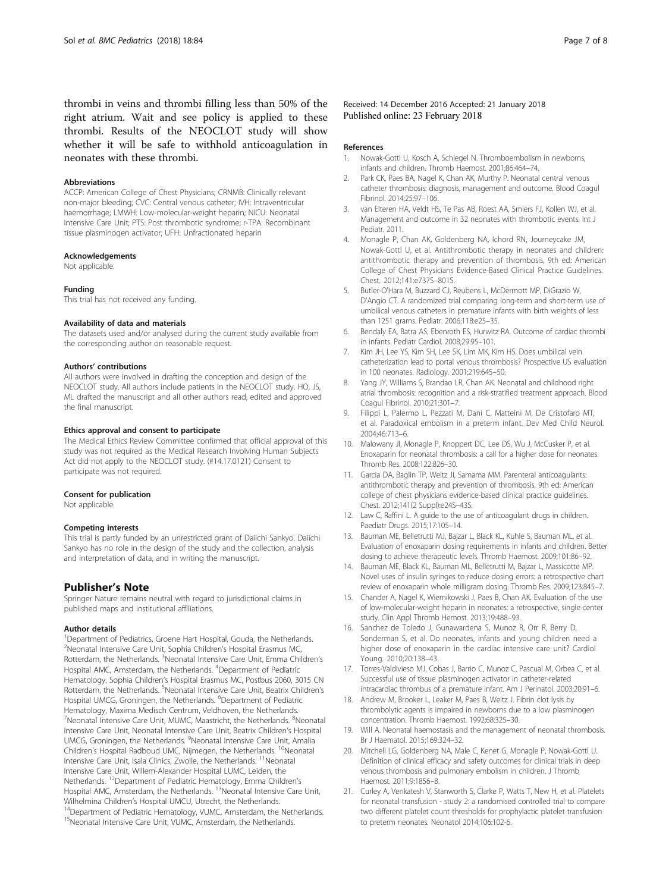<span id="page-6-0"></span>thrombi in veins and thrombi filling less than 50% of the right atrium. Wait and see policy is applied to these thrombi. Results of the NEOCLOT study will show whether it will be safe to withhold anticoagulation in neonates with these thrombi.

#### Abbreviations

ACCP: American College of Chest Physicians; CRNMB: Clinically relevant non-major bleeding; CVC: Central venous catheter; IVH: Intraventricular haemorrhage; LMWH: Low-molecular-weight heparin; NICU: Neonatal Intensive Care Unit; PTS: Post thrombotic syndrome; r-TPA: Recombinant tissue plasminogen activator; UFH: Unfractionated heparin

#### Acknowledgements

Not applicable.

#### Funding

This trial has not received any funding.

#### Availability of data and materials

The datasets used and/or analysed during the current study available from the corresponding author on reasonable request.

#### Authors' contributions

All authors were involved in drafting the conception and design of the NEOCLOT study. All authors include patients in the NEOCLOT study. HO, JS, ML drafted the manuscript and all other authors read, edited and approved the final manuscript.

#### Ethics approval and consent to participate

The Medical Ethics Review Committee confirmed that official approval of this study was not required as the Medical Research Involving Human Subjects Act did not apply to the NEOCLOT study. (#14.17.0121) Consent to participate was not required.

#### Consent for publication

Not applicable.

#### Competing interests

This trial is partly funded by an unrestricted grant of Daiichi Sankyo. Daiichi Sankyo has no role in the design of the study and the collection, analysis and interpretation of data, and in writing the manuscript.

#### Publisher's Note

Springer Nature remains neutral with regard to jurisdictional claims in published maps and institutional affiliations.

#### Author details

<sup>1</sup>Department of Pediatrics, Groene Hart Hospital, Gouda, the Netherlands. <sup>2</sup> Neonatal Intensive Care Unit, Sophia Children's Hospital Erasmus MC, Rotterdam, the Netherlands. <sup>3</sup>Neonatal Intensive Care Unit, Emma Children's Hospital AMC, Amsterdam, the Netherlands. <sup>4</sup>Department of Pediatric Hematology, Sophia Children's Hospital Erasmus MC, Postbus 2060, 3015 CN Rotterdam, the Netherlands. <sup>5</sup>Neonatal Intensive Care Unit, Beatrix Children's Hospital UMCG, Groningen, the Netherlands. <sup>6</sup>Department of Pediatric Hematology, Maxima Medisch Centrum, Veldhoven, the Netherlands. <sup>7</sup>Neonatal Intensive Care Unit, MUMC, Maastricht, the Netherlands. <sup>8</sup>Neonatal Intensive Care Unit, Neonatal Intensive Care Unit, Beatrix Children's Hospital UMCG, Groningen, the Netherlands. <sup>9</sup>Neonatal Intensive Care Unit, Amalia Children's Hospital Radboud UMC, Nijmegen, the Netherlands. <sup>10</sup>Neonatal Intensive Care Unit, Isala Clinics, Zwolle, the Netherlands. <sup>11</sup>Neonatal Intensive Care Unit, Willem-Alexander Hospital LUMC, Leiden, the Netherlands. 12Department of Pediatric Hematology, Emma Children's Hospital AMC, Amsterdam, the Netherlands. <sup>13</sup>Neonatal Intensive Care Unit, Wilhelmina Children's Hospital UMCU, Utrecht, the Netherlands.<br><sup>14</sup>Department of Pediatric Hematology, VUMC, Amsterdam, the Netherlands.

<sup>15</sup>Neonatal Intensive Care Unit, VUMC, Amsterdam, the Netherlands.

#### Received: 14 December 2016 Accepted: 21 January 2018 Published online: 23 February 2018

#### References

- 1. Nowak-Gottl U, Kosch A, Schlegel N. Thromboembolism in newborns, infants and children. Thromb Haemost. 2001;86:464–74.
- 2. Park CK, Paes BA, Nagel K, Chan AK, Murthy P. Neonatal central venous catheter thrombosis: diagnosis, management and outcome. Blood Coagul Fibrinol. 2014;25:97–106.
- 3. van Elteren HA, Veldt HS, Te Pas AB, Roest AA, Smiers FJ, Kollen WJ, et al. Management and outcome in 32 neonates with thrombotic events. Int J Pediatr. 2011.
- 4. Monagle P, Chan AK, Goldenberg NA, Ichord RN, Journeycake JM, Nowak-Gottl U, et al. Antithrombotic therapy in neonates and children: antithrombotic therapy and prevention of thrombosis, 9th ed: American College of Chest Physicians Evidence-Based Clinical Practice Guidelines. Chest. 2012;141:e737S–801S.
- Butler-O'Hara M, Buzzard CJ, Reubens L, McDermott MP, DiGrazio W, D'Angio CT. A randomized trial comparing long-term and short-term use of umbilical venous catheters in premature infants with birth weights of less than 1251 grams. Pediatr. 2006;118:e25–35.
- 6. Bendaly EA, Batra AS, Ebenroth ES, Hurwitz RA. Outcome of cardiac thrombi in infants. Pediatr Cardiol. 2008;29:95–101.
- 7. Kim JH, Lee YS, Kim SH, Lee SK, Lim MK, Kim HS. Does umbilical vein catheterization lead to portal venous thrombosis? Prospective US evaluation in 100 neonates. Radiology. 2001;219:645–50.
- 8. Yang JY, Williams S, Brandao LR, Chan AK. Neonatal and childhood right atrial thrombosis: recognition and a risk-stratified treatment approach. Blood Coagul Fibrinol. 2010;21:301–7.
- Filippi L, Palermo L, Pezzati M, Dani C, Matteini M, De Cristofaro MT, et al. Paradoxical embolism in a preterm infant. Dev Med Child Neurol. 2004;46:713–6.
- 10. Malowany JI, Monagle P, Knoppert DC, Lee DS, Wu J, McCusker P, et al. Enoxaparin for neonatal thrombosis: a call for a higher dose for neonates. Thromb Res. 2008;122:826–30.
- 11. Garcia DA, Baglin TP, Weitz JI, Samama MM. Parenteral anticoagulants: antithrombotic therapy and prevention of thrombosis, 9th ed: American college of chest physicians evidence-based clinical practice guidelines. Chest. 2012;141(2 Suppl):e24S–43S.
- 12. Law C, Raffini L. A guide to the use of anticoagulant drugs in children. Paediatr Drugs. 2015;17:105–14.
- 13. Bauman ME, Belletrutti MJ, Bajzar L, Black KL, Kuhle S, Bauman ML, et al. Evaluation of enoxaparin dosing requirements in infants and children. Better dosing to achieve therapeutic levels. Thromb Haemost. 2009;101:86–92.
- 14. Bauman ME, Black KL, Bauman ML, Belletrutti M, Bajzar L, Massicotte MP. Novel uses of insulin syringes to reduce dosing errors: a retrospective chart review of enoxaparin whole milligram dosing. Thromb Res. 2009;123:845–7.
- 15. Chander A, Nagel K, Wiernikowski J, Paes B, Chan AK. Evaluation of the use of low-molecular-weight heparin in neonates: a retrospective, single-center study. Clin Appl Thromb Hemost. 2013;19:488–93.
- 16. Sanchez de Toledo J, Gunawardena S, Munoz R, Orr R, Berry D, Sonderman S, et al. Do neonates, infants and young children need a higher dose of enoxaparin in the cardiac intensive care unit? Cardiol Young. 2010;20:138–43.
- 17. Torres-Valdivieso MJ, Cobas J, Barrio C, Munoz C, Pascual M, Orbea C, et al. Successful use of tissue plasminogen activator in catheter-related intracardiac thrombus of a premature infant. Am J Perinatol. 2003;20:91–6.
- 18. Andrew M, Brooker L, Leaker M, Paes B, Weitz J. Fibrin clot lysis by thrombolytic agents is impaired in newborns due to a low plasminogen concentration. Thromb Haemost. 1992;68:325–30.
- 19. Will A. Neonatal haemostasis and the management of neonatal thrombosis. Br J Haematol. 2015;169:324–32.
- 20. Mitchell LG, Goldenberg NA, Male C, Kenet G, Monagle P, Nowak-Gottl U. Definition of clinical efficacy and safety outcomes for clinical trials in deep venous thrombosis and pulmonary embolism in children. J Thromb Haemost. 2011;9:1856–8.
- 21. Curley A, Venkatesh V, Stanworth S, Clarke P, Watts T, New H, et al. Platelets for neonatal transfusion - study 2: a randomised controlled trial to compare two different platelet count thresholds for prophylactic platelet transfusion to preterm neonates. Neonatol 2014;106:102-6.